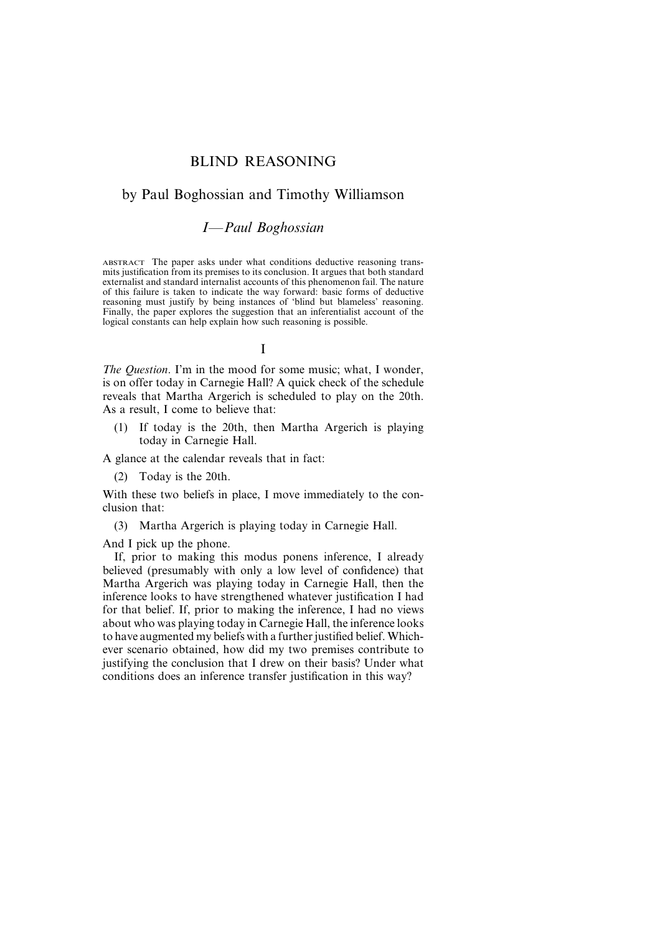# BLIND REASONING

## by Paul Boghossian and Timothy Williamson

# *I*—*Paul Boghossian*

ABSTRACT The paper asks under what conditions deductive reasoning transmits justification from its premises to its conclusion. It argues that both standard externalist and standard internalist accounts of this phenomenon fail. The nature of this failure is taken to indicate the way forward: basic forms of deductive reasoning must justify by being instances of 'blind but blameless' reasoning. Finally, the paper explores the suggestion that an inferentialist account of the logical constants can help explain how such reasoning is possible.

### I

*The Question*. I'm in the mood for some music; what, I wonder, is on offer today in Carnegie Hall? A quick check of the schedule reveals that Martha Argerich is scheduled to play on the 20th. As a result, I come to believe that:

(1) If today is the 20th, then Martha Argerich is playing today in Carnegie Hall.

A glance at the calendar reveals that in fact:

(2) Today is the 20th.

With these two beliefs in place, I move immediately to the conclusion that:

(3) Martha Argerich is playing today in Carnegie Hall.

And I pick up the phone.

If, prior to making this modus ponens inference, I already believed (presumably with only a low level of confidence) that Martha Argerich was playing today in Carnegie Hall, then the inference looks to have strengthened whatever justification I had for that belief. If, prior to making the inference, I had no views about who was playing today in Carnegie Hall, the inference looks to have augmented my beliefs with a further justified belief. Whichever scenario obtained, how did my two premises contribute to justifying the conclusion that I drew on their basis? Under what conditions does an inference transfer justification in this way?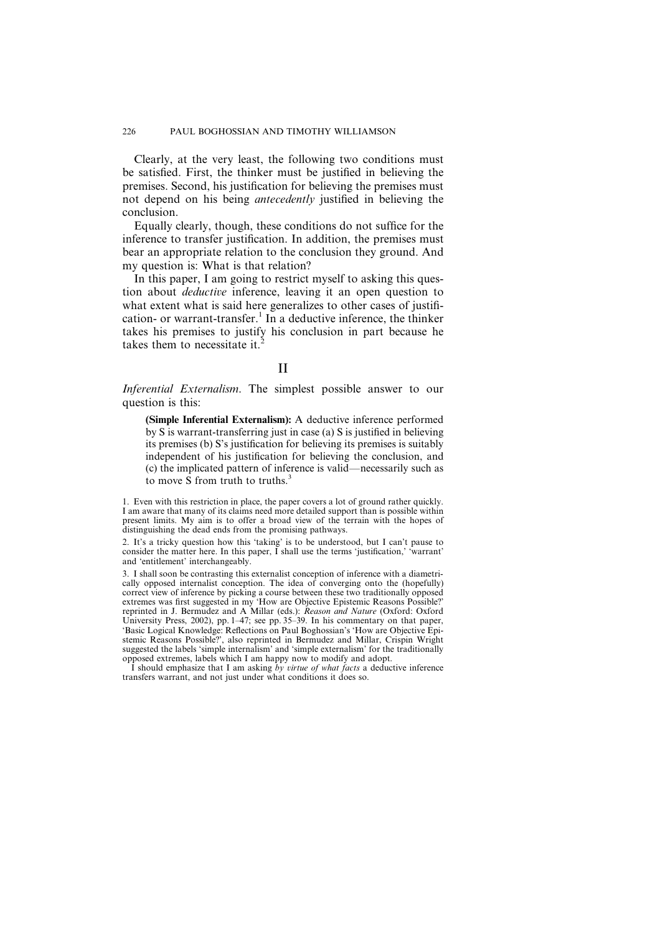Clearly, at the very least, the following two conditions must be satisfied. First, the thinker must be justified in believing the premises. Second, his justification for believing the premises must not depend on his being *antecedently* justified in believing the conclusion.

Equally clearly, though, these conditions do not suffice for the inference to transfer justification. In addition, the premises must bear an appropriate relation to the conclusion they ground. And my question is: What is that relation?

In this paper, I am going to restrict myself to asking this question about *deducti*û*e* inference, leaving it an open question to what extent what is said here generalizes to other cases of justification- or warrant-transfer.<sup>1</sup> In a deductive inference, the thinker takes his premises to justify his conclusion in part because he takes them to necessitate it.<sup>2</sup>

#### II

*Inferential Externalism*. The simplest possible answer to our question is this:

**(Simple Inferential Externalism):** A deductive inference performed by S is warrant-transferring just in case (a) S is justified in believing its premises (b) S's justification for believing its premises is suitably independent of his justification for believing the conclusion, and (c) the implicated pattern of inference is valid—necessarily such as to move S from truth to truths.<sup>3</sup>

1. Even with this restriction in place, the paper covers a lot of ground rather quickly. I am aware that many of its claims need more detailed support than is possible within present limits. My aim is to offer a broad view of the terrain with the hopes of distinguishing the dead ends from the promising pathways.

2. It's a tricky question how this 'taking' is to be understood, but I can't pause to consider the matter here. In this paper, I shall use the terms 'justification,' 'warrant' and 'entitlement' interchangeably.

3. I shall soon be contrasting this externalist conception of inference with a diametrically opposed internalist conception. The idea of converging onto the (hopefully) correct view of inference by picking a course between these two traditionally opposed extremes was first suggested in my 'How are Objective Epistemic Reasons Possible?' reprinted in J. Bermudez and A Millar (eds.): *Reason and Nature* (Oxford: Oxford University Press, 2002), pp. 1–47; see pp. 35–39. In his commentary on that paper, 'Basic Logical Knowledge: Reflections on Paul Boghossian's 'How are Objective Epistemic Reasons Possible?', also reprinted in Bermudez and Millar, Crispin Wright suggested the labels 'simple internalism' and 'simple externalism' for the traditionally opposed extremes, labels which I am happy now to modify and adopt.

I should emphasize that I am asking *by* û*irtue of what facts* a deductive inference transfers warrant, and not just under what conditions it does so.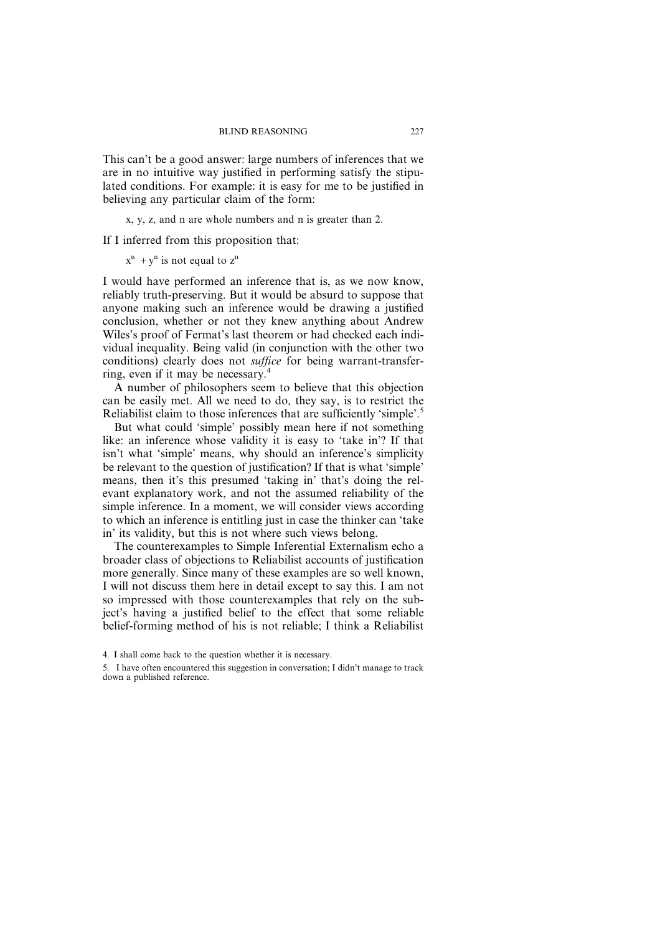This can't be a good answer: large numbers of inferences that we are in no intuitive way justified in performing satisfy the stipulated conditions. For example: it is easy for me to be justified in believing any particular claim of the form:

x, y, z, and n are whole numbers and n is greater than 2.

If I inferred from this proposition that:

 $x^n + y^n$  is not equal to  $z^n$ 

I would have performed an inference that is, as we now know, reliably truth-preserving. But it would be absurd to suppose that anyone making such an inference would be drawing a justified conclusion, whether or not they knew anything about Andrew Wiles's proof of Fermat's last theorem or had checked each individual inequality. Being valid (in conjunction with the other two conditions) clearly does not *suffice* for being warrant-transferring, even if it may be necessary.4

A number of philosophers seem to believe that this objection can be easily met. All we need to do, they say, is to restrict the Reliabilist claim to those inferences that are sufficiently 'simple'.<sup>5</sup>

But what could 'simple' possibly mean here if not something like: an inference whose validity it is easy to 'take in'? If that isn't what 'simple' means, why should an inference's simplicity be relevant to the question of justification? If that is what 'simple' means, then it's this presumed 'taking in' that's doing the relevant explanatory work, and not the assumed reliability of the simple inference. In a moment, we will consider views according to which an inference is entitling just in case the thinker can 'take in' its validity, but this is not where such views belong.

The counterexamples to Simple Inferential Externalism echo a broader class of objections to Reliabilist accounts of justification more generally. Since many of these examples are so well known, I will not discuss them here in detail except to say this. I am not so impressed with those counterexamples that rely on the subject's having a justified belief to the effect that some reliable belief-forming method of his is not reliable; I think a Reliabilist

<sup>4.</sup> I shall come back to the question whether it is necessary.

<sup>5.</sup> I have often encountered this suggestion in conversation; I didn't manage to track down a published reference.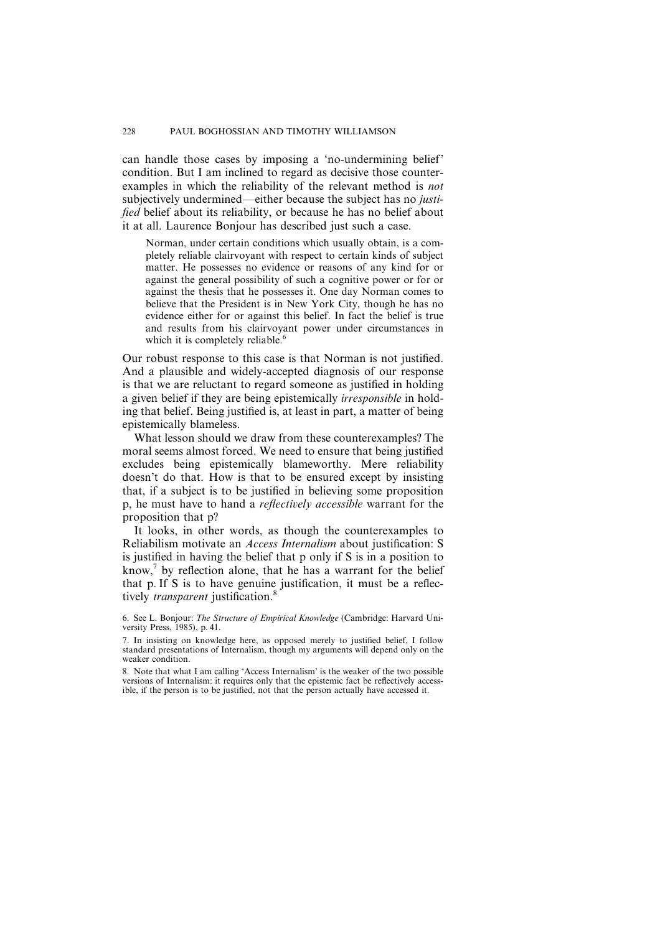can handle those cases by imposing a 'no-undermining belief' condition. But I am inclined to regard as decisive those counterexamples in which the reliability of the relevant method is *not* subjectively undermined—either because the subject has no *justified* belief about its reliability, or because he has no belief about it at all. Laurence Bonjour has described just such a case.

Norman, under certain conditions which usually obtain, is a completely reliable clairvoyant with respect to certain kinds of subject matter. He possesses no evidence or reasons of any kind for or against the general possibility of such a cognitive power or for or against the thesis that he possesses it. One day Norman comes to believe that the President is in New York City, though he has no evidence either for or against this belief. In fact the belief is true and results from his clairvoyant power under circumstances in which it is completely reliable.<sup>6</sup>

Our robust response to this case is that Norman is not justified. And a plausible and widely-accepted diagnosis of our response is that we are reluctant to regard someone as justified in holding a given belief if they are being epistemically *irresponsible* in holding that belief. Being justified is, at least in part, a matter of being epistemically blameless.

What lesson should we draw from these counterexamples? The moral seems almost forced. We need to ensure that being justified excludes being epistemically blameworthy. Mere reliability doesn't do that. How is that to be ensured except by insisting that, if a subject is to be justified in believing some proposition p, he must have to hand a *reflecti*û*ely accessible* warrant for the proposition that p?

It looks, in other words, as though the counterexamples to Reliabilism motivate an *Access Internalism* about justification: S is justified in having the belief that p only if S is in a position to know, $<sup>7</sup>$  by reflection alone, that he has a warrant for the belief</sup> that p. If S is to have genuine justification, it must be a reflectively *transparent* justification.8

6. See L. Bonjour: *The Structure of Empirical Knowledge* (Cambridge: Harvard University Press, 1985), p. 41.

7. In insisting on knowledge here, as opposed merely to justified belief, I follow standard presentations of Internalism, though my arguments will depend only on the weaker condition.

8. Note that what I am calling 'Access Internalism' is the weaker of the two possible versions of Internalism: it requires only that the epistemic fact be reflectively accessible, if the person is to be justified, not that the person actually have accessed it.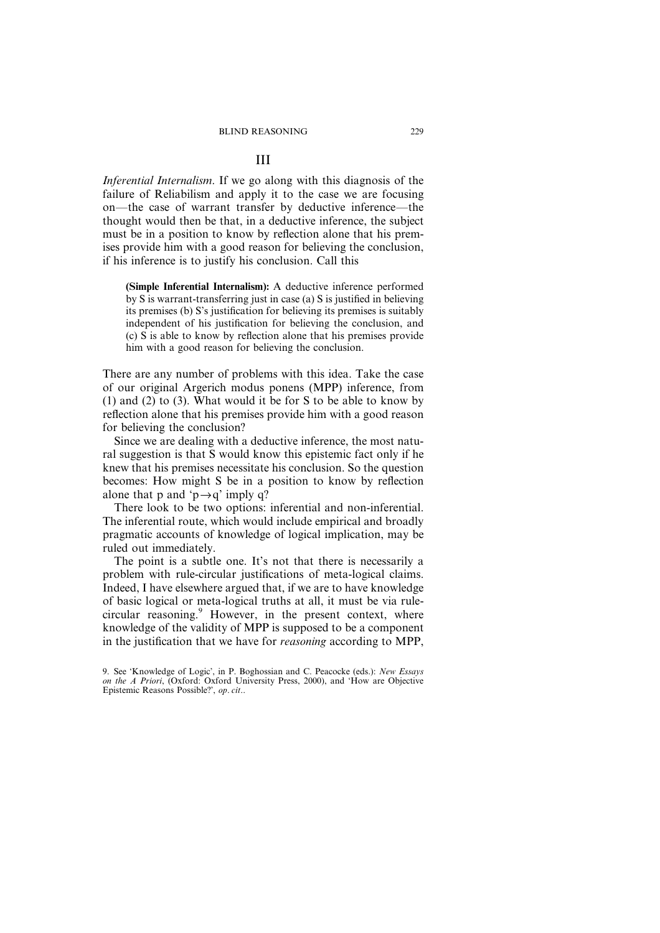### III

*Inferential Internalism*. If we go along with this diagnosis of the failure of Reliabilism and apply it to the case we are focusing on—the case of warrant transfer by deductive inference—the thought would then be that, in a deductive inference, the subject must be in a position to know by reflection alone that his premises provide him with a good reason for believing the conclusion, if his inference is to justify his conclusion. Call this

**(Simple Inferential Internalism):** A deductive inference performed by S is warrant-transferring just in case (a) S is justified in believing its premises (b) S's justification for believing its premises is suitably independent of his justification for believing the conclusion, and (c) S is able to know by reflection alone that his premises provide him with a good reason for believing the conclusion.

There are any number of problems with this idea. Take the case of our original Argerich modus ponens (MPP) inference, from (1) and (2) to (3). What would it be for S to be able to know by reflection alone that his premises provide him with a good reason for believing the conclusion?

Since we are dealing with a deductive inference, the most natural suggestion is that S would know this epistemic fact only if he knew that his premises necessitate his conclusion. So the question becomes: How might S be in a position to know by reflection alone that p and 'p $\rightarrow$ q' imply q?

There look to be two options: inferential and non-inferential. The inferential route, which would include empirical and broadly pragmatic accounts of knowledge of logical implication, may be ruled out immediately.

The point is a subtle one. It's not that there is necessarily a problem with rule-circular justifications of meta-logical claims. Indeed, I have elsewhere argued that, if we are to have knowledge of basic logical or meta-logical truths at all, it must be via rulecircular reasoning.<sup>9</sup> However, in the present context, where knowledge of the validity of MPP is supposed to be a component in the justification that we have for *reasoning* according to MPP,

<sup>9.</sup> See 'Knowledge of Logic', in P. Boghossian and C. Peacocke (eds.): *New Essays on the A Priori*, (Oxford: Oxford University Press, 2000), and 'How are Objective Epistemic Reasons Possible?', *op*. *cit*..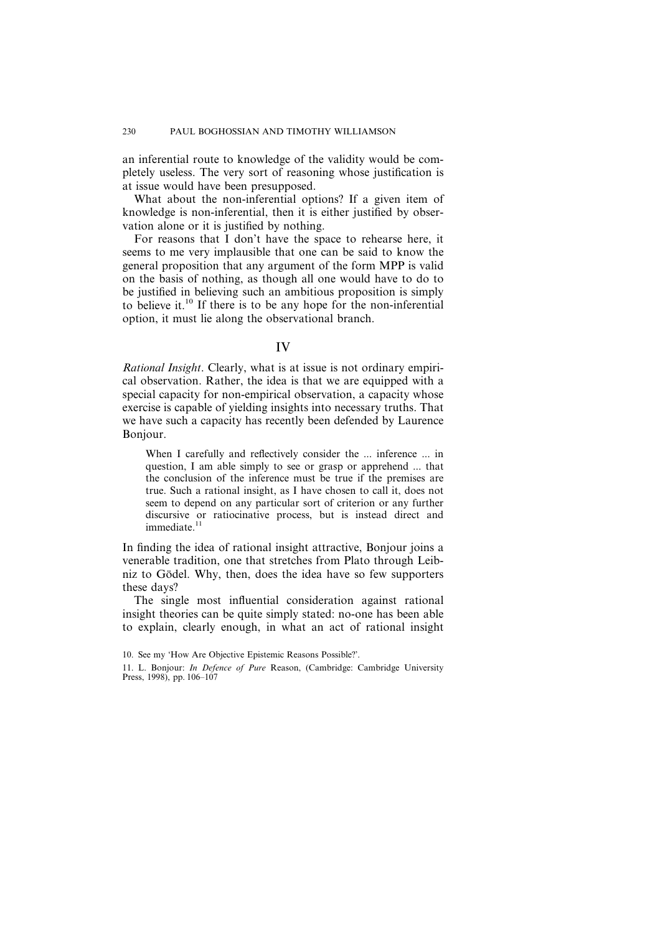an inferential route to knowledge of the validity would be completely useless. The very sort of reasoning whose justification is at issue would have been presupposed.

What about the non-inferential options? If a given item of knowledge is non-inferential, then it is either justified by observation alone or it is justified by nothing.

For reasons that I don't have the space to rehearse here, it seems to me very implausible that one can be said to know the general proposition that any argument of the form MPP is valid on the basis of nothing, as though all one would have to do to be justified in believing such an ambitious proposition is simply to believe it.<sup>10</sup> If there is to be any hope for the non-inferential option, it must lie along the observational branch.

### IV

*Rational Insight*. Clearly, what is at issue is not ordinary empirical observation. Rather, the idea is that we are equipped with a special capacity for non-empirical observation, a capacity whose exercise is capable of yielding insights into necessary truths. That we have such a capacity has recently been defended by Laurence Bonjour.

When I carefully and reflectively consider the ... inference ... in question, I am able simply to see or grasp or apprehend ... that the conclusion of the inference must be true if the premises are true. Such a rational insight, as I have chosen to call it, does not seem to depend on any particular sort of criterion or any further discursive or ratiocinative process, but is instead direct and immediate.<sup>11</sup>

In finding the idea of rational insight attractive, Bonjour joins a venerable tradition, one that stretches from Plato through Leibniz to Gödel. Why, then, does the idea have so few supporters these days?

The single most influential consideration against rational insight theories can be quite simply stated: no-one has been able to explain, clearly enough, in what an act of rational insight

<sup>10.</sup> See my 'How Are Objective Epistemic Reasons Possible?'.

<sup>11.</sup> L. Bonjour: *In Defence of Pure* Reason, (Cambridge: Cambridge University Press, 1998), pp. 106–107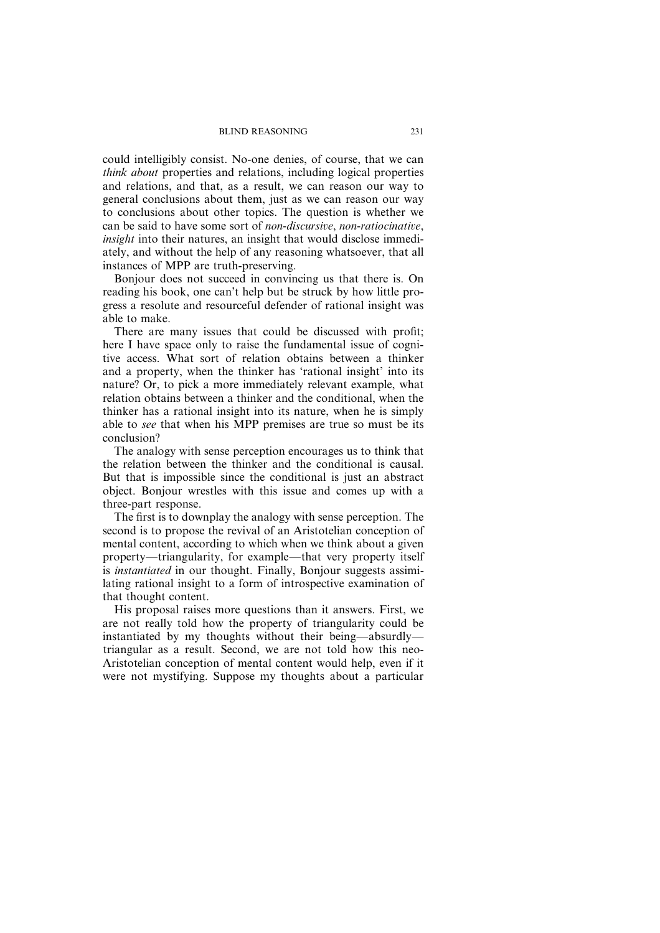could intelligibly consist. No-one denies, of course, that we can *think about* properties and relations, including logical properties and relations, and that, as a result, we can reason our way to general conclusions about them, just as we can reason our way to conclusions about other topics. The question is whether we can be said to have some sort of *non*-*discursi*û*e*, *non*-*ratiocinati*û*e*, *insight* into their natures, an insight that would disclose immediately, and without the help of any reasoning whatsoever, that all instances of MPP are truth-preserving.

Bonjour does not succeed in convincing us that there is. On reading his book, one can't help but be struck by how little progress a resolute and resourceful defender of rational insight was able to make.

There are many issues that could be discussed with profit; here I have space only to raise the fundamental issue of cognitive access. What sort of relation obtains between a thinker and a property, when the thinker has 'rational insight' into its nature? Or, to pick a more immediately relevant example, what relation obtains between a thinker and the conditional, when the thinker has a rational insight into its nature, when he is simply able to *see* that when his MPP premises are true so must be its conclusion?

The analogy with sense perception encourages us to think that the relation between the thinker and the conditional is causal. But that is impossible since the conditional is just an abstract object. Bonjour wrestles with this issue and comes up with a three-part response.

The first is to downplay the analogy with sense perception. The second is to propose the revival of an Aristotelian conception of mental content, according to which when we think about a given property—triangularity, for example—that very property itself is *instantiated* in our thought. Finally, Bonjour suggests assimilating rational insight to a form of introspective examination of that thought content.

His proposal raises more questions than it answers. First, we are not really told how the property of triangularity could be instantiated by my thoughts without their being—absurdly triangular as a result. Second, we are not told how this neo-Aristotelian conception of mental content would help, even if it were not mystifying. Suppose my thoughts about a particular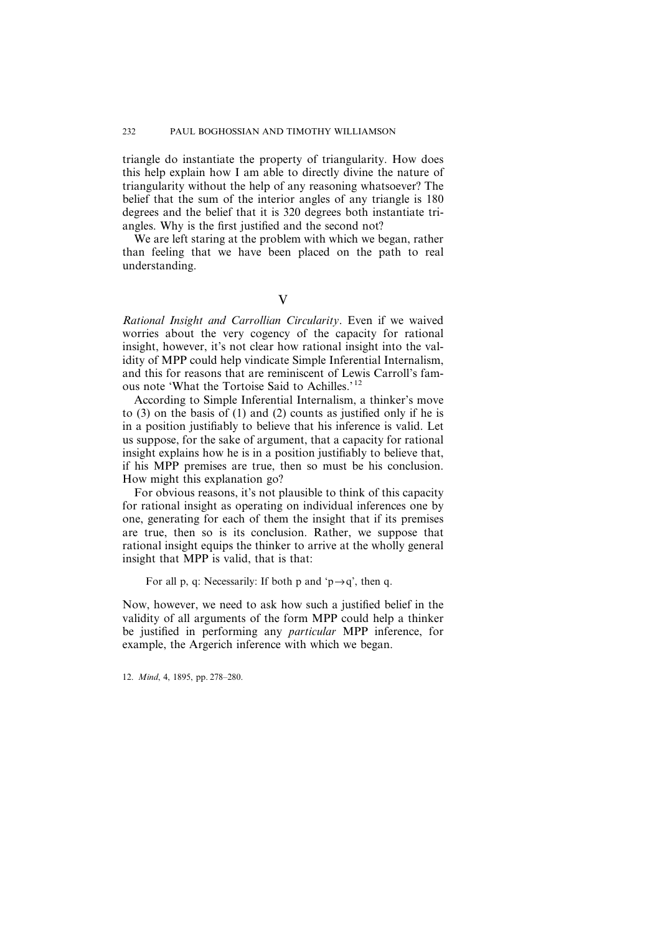triangle do instantiate the property of triangularity. How does this help explain how I am able to directly divine the nature of triangularity without the help of any reasoning whatsoever? The belief that the sum of the interior angles of any triangle is 180 degrees and the belief that it is 320 degrees both instantiate triangles. Why is the first justified and the second not?

We are left staring at the problem with which we began, rather than feeling that we have been placed on the path to real understanding.

#### V

*Rational Insight and Carrollian Circularity*. Even if we waived worries about the very cogency of the capacity for rational insight, however, it's not clear how rational insight into the validity of MPP could help vindicate Simple Inferential Internalism, and this for reasons that are reminiscent of Lewis Carroll's famous note 'What the Tortoise Said to Achilles.'<sup>12</sup>

According to Simple Inferential Internalism, a thinker's move to (3) on the basis of (1) and (2) counts as justified only if he is in a position justifiably to believe that his inference is valid. Let us suppose, for the sake of argument, that a capacity for rational insight explains how he is in a position justifiably to believe that, if his MPP premises are true, then so must be his conclusion. How might this explanation go?

For obvious reasons, it's not plausible to think of this capacity for rational insight as operating on individual inferences one by one, generating for each of them the insight that if its premises are true, then so is its conclusion. Rather, we suppose that rational insight equips the thinker to arrive at the wholly general insight that MPP is valid, that is that:

For all p, q: Necessarily: If both p and 'p $\rightarrow$ q', then q.

Now, however, we need to ask how such a justified belief in the validity of all arguments of the form MPP could help a thinker be justified in performing any *particular* MPP inference, for example, the Argerich inference with which we began.

12. *Mind*, 4, 1895, pp. 278–280.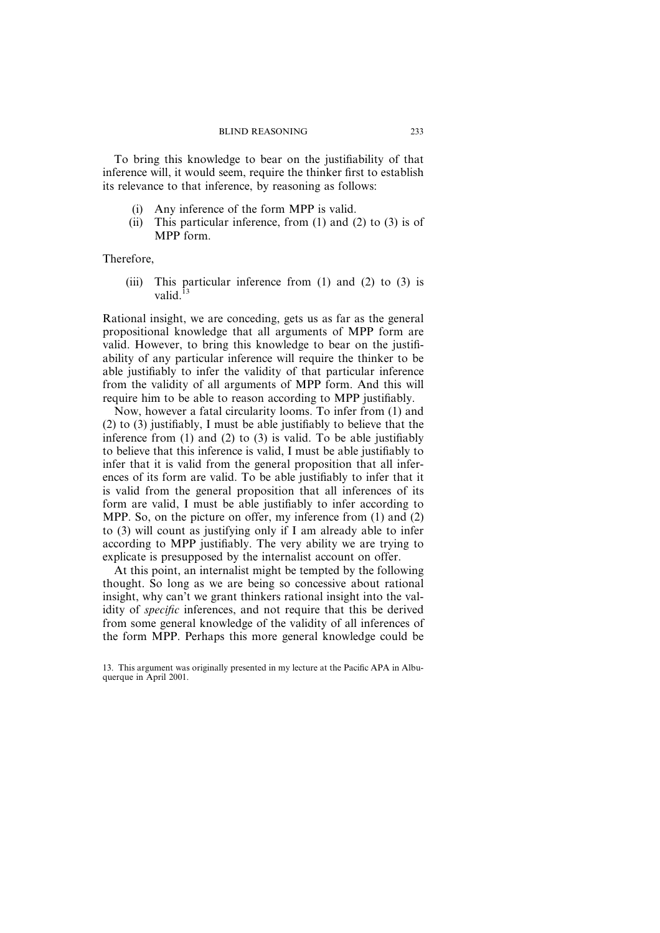To bring this knowledge to bear on the justifiability of that inference will, it would seem, require the thinker first to establish its relevance to that inference, by reasoning as follows:

- (i) Any inference of the form MPP is valid.
- (ii) This particular inference, from (1) and (2) to (3) is of MPP form.

Therefore,

(iii) This particular inference from  $(1)$  and  $(2)$  to  $(3)$  is valid.<sup>13</sup>

Rational insight, we are conceding, gets us as far as the general propositional knowledge that all arguments of MPP form are valid. However, to bring this knowledge to bear on the justifiability of any particular inference will require the thinker to be able justifiably to infer the validity of that particular inference from the validity of all arguments of MPP form. And this will require him to be able to reason according to MPP justifiably.

Now, however a fatal circularity looms. To infer from (1) and (2) to (3) justifiably, I must be able justifiably to believe that the inference from (1) and (2) to (3) is valid. To be able justifiably to believe that this inference is valid, I must be able justifiably to infer that it is valid from the general proposition that all inferences of its form are valid. To be able justifiably to infer that it is valid from the general proposition that all inferences of its form are valid, I must be able justifiably to infer according to MPP. So, on the picture on offer, my inference from (1) and (2) to (3) will count as justifying only if I am already able to infer according to MPP justifiably. The very ability we are trying to explicate is presupposed by the internalist account on offer.

At this point, an internalist might be tempted by the following thought. So long as we are being so concessive about rational insight, why can't we grant thinkers rational insight into the validity of *specific* inferences, and not require that this be derived from some general knowledge of the validity of all inferences of the form MPP. Perhaps this more general knowledge could be

<sup>13.</sup> This argument was originally presented in my lecture at the Pacific APA in Albuquerque in April 2001.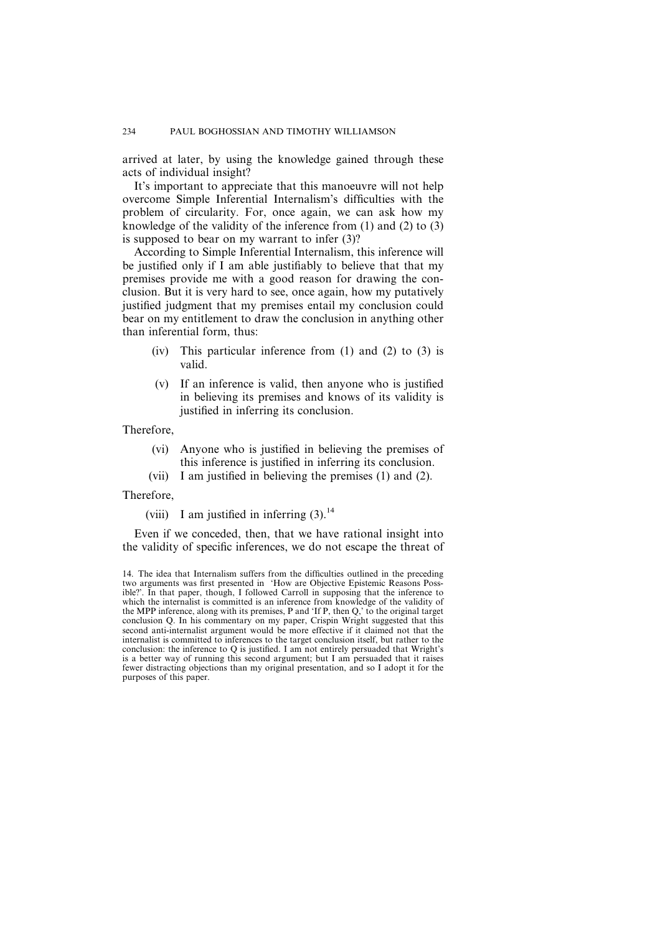arrived at later, by using the knowledge gained through these acts of individual insight?

It's important to appreciate that this manoeuvre will not help overcome Simple Inferential Internalism's difficulties with the problem of circularity. For, once again, we can ask how my knowledge of the validity of the inference from  $(1)$  and  $(2)$  to  $(3)$ is supposed to bear on my warrant to infer (3)?

According to Simple Inferential Internalism, this inference will be justified only if I am able justifiably to believe that that my premises provide me with a good reason for drawing the conclusion. But it is very hard to see, once again, how my putatively justified judgment that my premises entail my conclusion could bear on my entitlement to draw the conclusion in anything other than inferential form, thus:

- (iv) This particular inference from (1) and (2) to (3) is valid.
- (v) If an inference is valid, then anyone who is justified in believing its premises and knows of its validity is justified in inferring its conclusion.

Therefore,

- (vi) Anyone who is justified in believing the premises of this inference is justified in inferring its conclusion.
- (vii) I am justified in believing the premises (1) and (2).

Therefore,

(viii) I am justified in inferring  $(3)$ .<sup>14</sup>

Even if we conceded, then, that we have rational insight into the validity of specific inferences, we do not escape the threat of

<sup>14.</sup> The idea that Internalism suffers from the difficulties outlined in the preceding two arguments was first presented in 'How are Objective Epistemic Reasons Possible?'. In that paper, though, I followed Carroll in supposing that the inference to which the internalist is committed is an inference from knowledge of the validity of the MPP inference, along with its premises, P and 'If P, then Q,' to the original target conclusion Q. In his commentary on my paper, Crispin Wright suggested that this second anti-internalist argument would be more effective if it claimed not that the internalist is committed to inferences to the target conclusion itself, but rather to the conclusion: the inference to Q is justified. I am not entirely persuaded that Wright's is a better way of running this second argument; but I am persuaded that it raises fewer distracting objections than my original presentation, and so I adopt it for the purposes of this paper.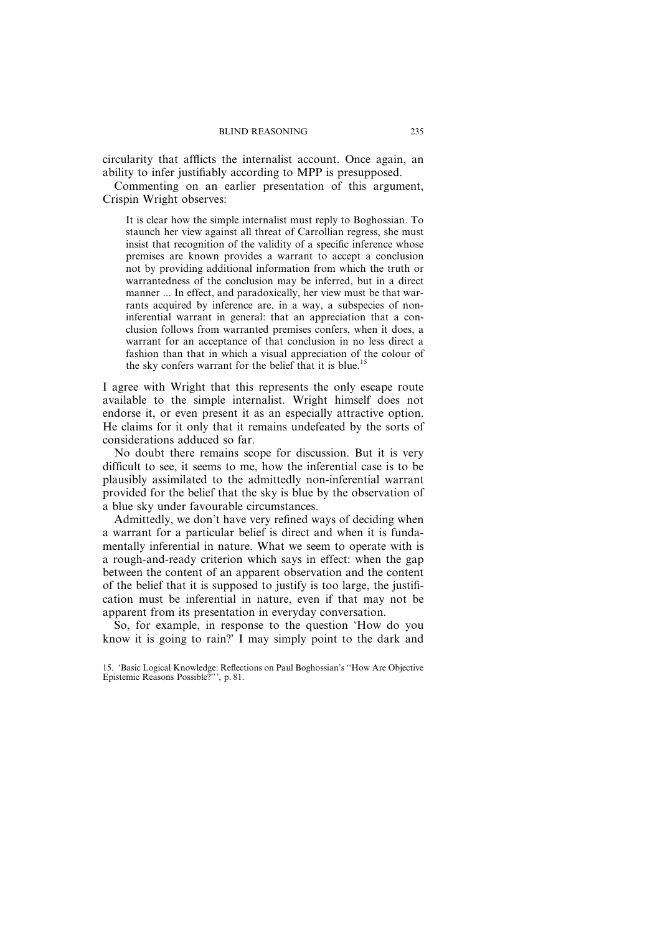circularity that afflicts the internalist account. Once again, an ability to infer justifiably according to MPP is presupposed.

Commenting on an earlier presentation of this argument, Crispin Wright observes:

It is clear how the simple internalist must reply to Boghossian. To staunch her view against all threat of Carrollian regress, she must insist that recognition of the validity of a specific inference whose premises are known provides a warrant to accept a conclusion not by providing additional information from which the truth or warrantedness of the conclusion may be inferred, but in a direct manner ... In effect, and paradoxically, her view must be that warrants acquired by inference are, in a way, a subspecies of noninferential warrant in general: that an appreciation that a conclusion follows from warranted premises confers, when it does, a warrant for an acceptance of that conclusion in no less direct a fashion than that in which a visual appreciation of the colour of the sky confers warrant for the belief that it is blue.<sup>15</sup>

I agree with Wright that this represents the only escape route available to the simple internalist. Wright himself does not endorse it, or even present it as an especially attractive option. He claims for it only that it remains undefeated by the sorts of considerations adduced so far.

No doubt there remains scope for discussion. But it is very difficult to see, it seems to me, how the inferential case is to be plausibly assimilated to the admittedly non-inferential warrant provided for the belief that the sky is blue by the observation of a blue sky under favourable circumstances.

Admittedly, we don't have very refined ways of deciding when a warrant for a particular belief is direct and when it is fundamentally inferential in nature. What we seem to operate with is a rough-and-ready criterion which says in effect: when the gap between the content of an apparent observation and the content of the belief that it is supposed to justify is too large, the justification must be inferential in nature, even if that may not be apparent from its presentation in everyday conversation.

So, for example, in response to the question 'How do you know it is going to rain?' I may simply point to the dark and

<sup>15.</sup> 'Basic Logical Knowledge: Reflections on Paul Boghossian's ''How Are Objective Epistemic Reasons Possible?''', p. 81.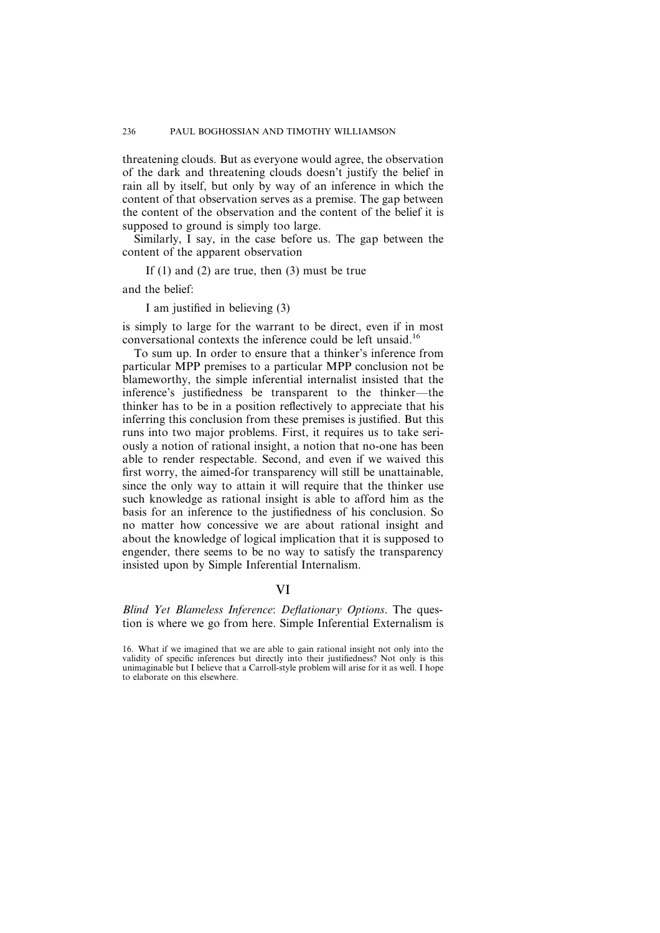threatening clouds. But as everyone would agree, the observation of the dark and threatening clouds doesn't justify the belief in rain all by itself, but only by way of an inference in which the content of that observation serves as a premise. The gap between the content of the observation and the content of the belief it is supposed to ground is simply too large.

Similarly, I say, in the case before us. The gap between the content of the apparent observation

If (1) and (2) are true, then (3) must be true

and the belief:

I am justified in believing (3)

is simply to large for the warrant to be direct, even if in most conversational contexts the inference could be left unsaid.<sup>16</sup>

To sum up. In order to ensure that a thinker's inference from particular MPP premises to a particular MPP conclusion not be blameworthy, the simple inferential internalist insisted that the inference's justifiedness be transparent to the thinker—the thinker has to be in a position reflectively to appreciate that his inferring this conclusion from these premises is justified. But this runs into two major problems. First, it requires us to take seriously a notion of rational insight, a notion that no-one has been able to render respectable. Second, and even if we waived this first worry, the aimed-for transparency will still be unattainable, since the only way to attain it will require that the thinker use such knowledge as rational insight is able to afford him as the basis for an inference to the justifiedness of his conclusion. So no matter how concessive we are about rational insight and about the knowledge of logical implication that it is supposed to engender, there seems to be no way to satisfy the transparency insisted upon by Simple Inferential Internalism.

#### VI

*Blind Yet Blameless Inference*: *Deflationary Options*. The question is where we go from here. Simple Inferential Externalism is

<sup>16.</sup> What if we imagined that we are able to gain rational insight not only into the validity of specific inferences but directly into their justifiedness? Not only is this unimaginable but I believe that a Carroll-style problem will arise for it as well. I hope to elaborate on this elsewhere.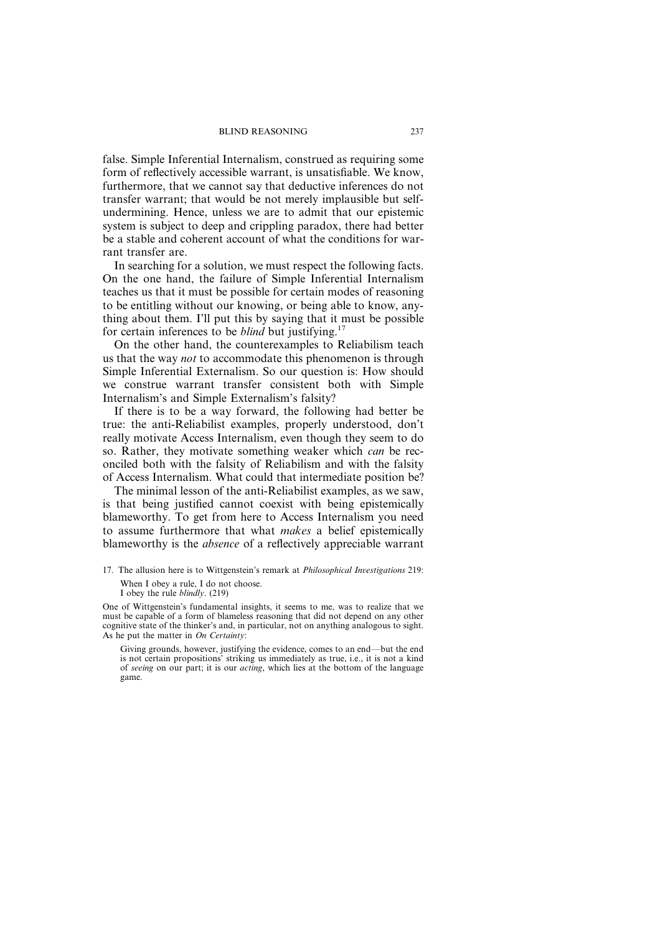false. Simple Inferential Internalism, construed as requiring some form of reflectively accessible warrant, is unsatisfiable. We know, furthermore, that we cannot say that deductive inferences do not transfer warrant; that would be not merely implausible but selfundermining. Hence, unless we are to admit that our epistemic system is subject to deep and crippling paradox, there had better be a stable and coherent account of what the conditions for warrant transfer are.

In searching for a solution, we must respect the following facts. On the one hand, the failure of Simple Inferential Internalism teaches us that it must be possible for certain modes of reasoning to be entitling without our knowing, or being able to know, anything about them. I'll put this by saying that it must be possible for certain inferences to be *blind* but justifying.<sup>17</sup>

On the other hand, the counterexamples to Reliabilism teach us that the way *not* to accommodate this phenomenon is through Simple Inferential Externalism. So our question is: How should we construe warrant transfer consistent both with Simple Internalism's and Simple Externalism's falsity?

If there is to be a way forward, the following had better be true: the anti-Reliabilist examples, properly understood, don't really motivate Access Internalism, even though they seem to do so. Rather, they motivate something weaker which *can* be reconciled both with the falsity of Reliabilism and with the falsity of Access Internalism. What could that intermediate position be?

The minimal lesson of the anti-Reliabilist examples, as we saw, is that being justified cannot coexist with being epistemically blameworthy. To get from here to Access Internalism you need to assume furthermore that what *makes* a belief epistemically blameworthy is the *absence* of a reflectively appreciable warrant

17. The allusion here is to Wittgenstein's remark at *Philosophical In*û*estigations* 219:

When I obey a rule, I do not choose. I obey the rule *blindly*. (219)

One of Wittgenstein's fundamental insights, it seems to me, was to realize that we must be capable of a form of blameless reasoning that did not depend on any other cognitive state of the thinker's and, in particular, not on anything analogous to sight. As he put the matter in *On Certainty*:

Giving grounds, however, justifying the evidence, comes to an end—but the end is not certain propositions' striking us immediately as true, i.e., it is not a kind of *seeing* on our part; it is our *acting*, which lies at the bottom of the language game.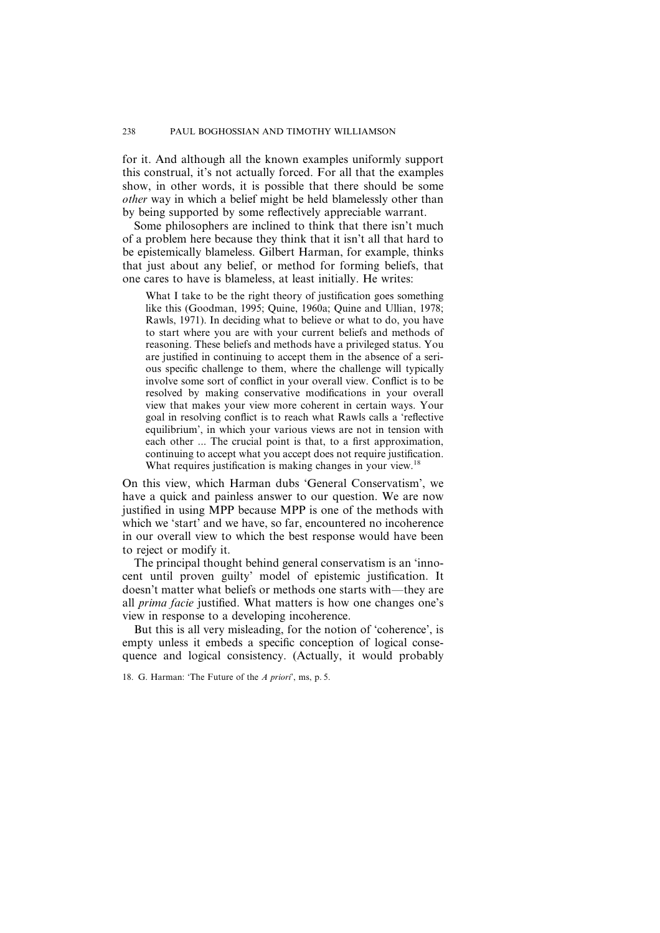for it. And although all the known examples uniformly support this construal, it's not actually forced. For all that the examples show, in other words, it is possible that there should be some *other* way in which a belief might be held blamelessly other than by being supported by some reflectively appreciable warrant.

Some philosophers are inclined to think that there isn't much of a problem here because they think that it isn't all that hard to be epistemically blameless. Gilbert Harman, for example, thinks that just about any belief, or method for forming beliefs, that one cares to have is blameless, at least initially. He writes:

What I take to be the right theory of justification goes something like this (Goodman, 1995; Quine, 1960a; Quine and Ullian, 1978; Rawls, 1971). In deciding what to believe or what to do, you have to start where you are with your current beliefs and methods of reasoning. These beliefs and methods have a privileged status. You are justified in continuing to accept them in the absence of a serious specific challenge to them, where the challenge will typically involve some sort of conflict in your overall view. Conflict is to be resolved by making conservative modifications in your overall view that makes your view more coherent in certain ways. Your goal in resolving conflict is to reach what Rawls calls a 'reflective equilibrium', in which your various views are not in tension with each other ... The crucial point is that, to a first approximation, continuing to accept what you accept does not require justification. What requires justification is making changes in your view.<sup>18</sup>

On this view, which Harman dubs 'General Conservatism', we have a quick and painless answer to our question. We are now justified in using MPP because MPP is one of the methods with which we 'start' and we have, so far, encountered no incoherence in our overall view to which the best response would have been to reject or modify it.

The principal thought behind general conservatism is an 'innocent until proven guilty' model of epistemic justification. It doesn't matter what beliefs or methods one starts with—they are all *prima facie* justified. What matters is how one changes one's view in response to a developing incoherence.

But this is all very misleading, for the notion of 'coherence', is empty unless it embeds a specific conception of logical consequence and logical consistency. (Actually, it would probably

<sup>18.</sup> G. Harman: 'The Future of the *A priori*', ms, p. 5.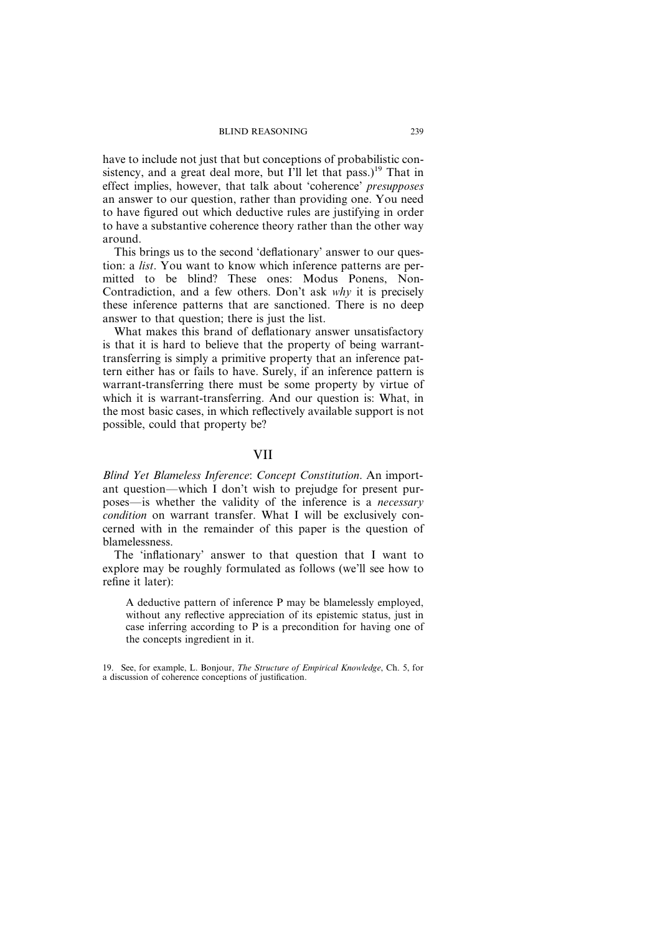have to include not just that but conceptions of probabilistic consistency, and a great deal more, but I'll let that pass.)<sup>19</sup> That in effect implies, however, that talk about 'coherence' *presupposes* an answer to our question, rather than providing one. You need to have figured out which deductive rules are justifying in order to have a substantive coherence theory rather than the other way around.

This brings us to the second 'deflationary' answer to our question: a *list*. You want to know which inference patterns are permitted to be blind? These ones: Modus Ponens, Non-Contradiction, and a few others. Don't ask *why* it is precisely these inference patterns that are sanctioned. There is no deep answer to that question; there is just the list.

What makes this brand of deflationary answer unsatisfactory is that it is hard to believe that the property of being warranttransferring is simply a primitive property that an inference pattern either has or fails to have. Surely, if an inference pattern is warrant-transferring there must be some property by virtue of which it is warrant-transferring. And our question is: What, in the most basic cases, in which reflectively available support is not possible, could that property be?

#### VII

*Blind Yet Blameless Inference*: *Concept Constitution*. An important question—which I don't wish to prejudge for present purposes—is whether the validity of the inference is a *necessary condition* on warrant transfer. What I will be exclusively concerned with in the remainder of this paper is the question of blamelessness.

The 'inflationary' answer to that question that I want to explore may be roughly formulated as follows (we'll see how to refine it later):

A deductive pattern of inference P may be blamelessly employed, without any reflective appreciation of its epistemic status, just in case inferring according to P is a precondition for having one of the concepts ingredient in it.

19. See, for example, L. Bonjour, *The Structure of Empirical Knowledge*, Ch. 5, for a discussion of coherence conceptions of justification.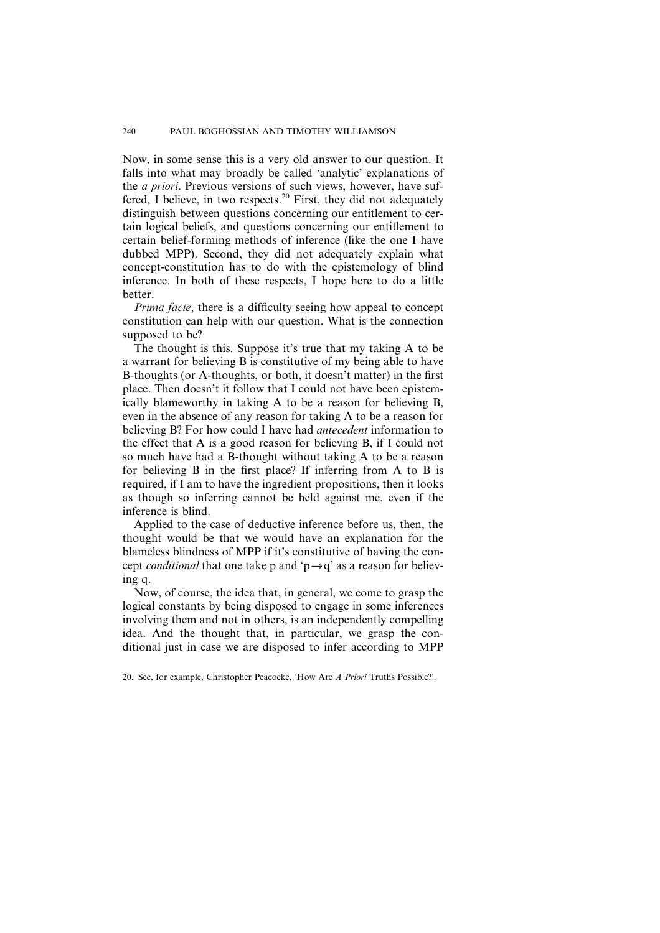Now, in some sense this is a very old answer to our question. It falls into what may broadly be called 'analytic' explanations of the *a priori*. Previous versions of such views, however, have suffered, I believe, in two respects.<sup>20</sup> First, they did not adequately distinguish between questions concerning our entitlement to certain logical beliefs, and questions concerning our entitlement to certain belief-forming methods of inference (like the one I have dubbed MPP). Second, they did not adequately explain what concept-constitution has to do with the epistemology of blind inference. In both of these respects, I hope here to do a little better.

*Prima facie*, there is a difficulty seeing how appeal to concept constitution can help with our question. What is the connection supposed to be?

The thought is this. Suppose it's true that my taking A to be a warrant for believing B is constitutive of my being able to have B-thoughts (or A-thoughts, or both, it doesn't matter) in the first place. Then doesn't it follow that I could not have been epistemically blameworthy in taking A to be a reason for believing B, even in the absence of any reason for taking A to be a reason for believing B? For how could I have had *antecedent* information to the effect that A is a good reason for believing B, if I could not so much have had a B-thought without taking A to be a reason for believing B in the first place? If inferring from A to B is required, if I am to have the ingredient propositions, then it looks as though so inferring cannot be held against me, even if the inference is blind.

Applied to the case of deductive inference before us, then, the thought would be that we would have an explanation for the blameless blindness of MPP if it's constitutive of having the concept *conditional* that one take p and 'p→q' as a reason for believing q.

Now, of course, the idea that, in general, we come to grasp the logical constants by being disposed to engage in some inferences involving them and not in others, is an independently compelling idea. And the thought that, in particular, we grasp the conditional just in case we are disposed to infer according to MPP

20. See, for example, Christopher Peacocke, 'How Are *A Priori* Truths Possible?'.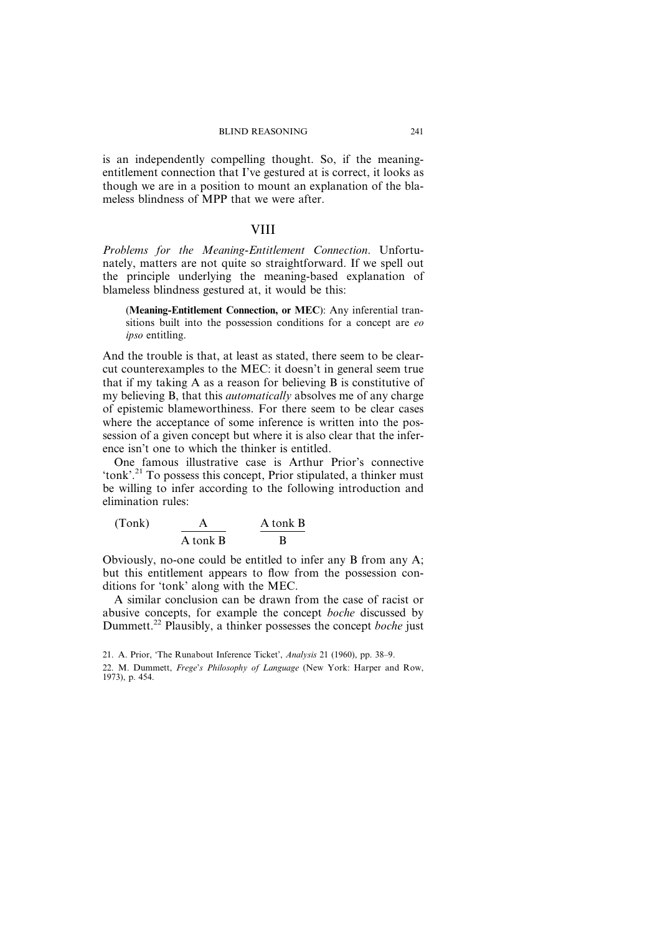is an independently compelling thought. So, if the meaningentitlement connection that I've gestured at is correct, it looks as though we are in a position to mount an explanation of the blameless blindness of MPP that we were after.

### **VIII**

*Problems for the Meaning*-*Entitlement Connection*. Unfortunately, matters are not quite so straightforward. If we spell out the principle underlying the meaning-based explanation of blameless blindness gestured at, it would be this:

(**Meaning-Entitlement Connection, or MEC**): Any inferential transitions built into the possession conditions for a concept are *eo ipso* entitling.

And the trouble is that, at least as stated, there seem to be clearcut counterexamples to the MEC: it doesn't in general seem true that if my taking A as a reason for believing B is constitutive of my believing B, that this *automatically* absolves me of any charge of epistemic blameworthiness. For there seem to be clear cases where the acceptance of some inference is written into the possession of a given concept but where it is also clear that the inference isn't one to which the thinker is entitled.

One famous illustrative case is Arthur Prior's connective 'tonk'.<sup>21</sup> To possess this concept, Prior stipulated, a thinker must be willing to infer according to the following introduction and elimination rules:

(Tonk) A A tonk B A tonk B B

Obviously, no-one could be entitled to infer any B from any A; but this entitlement appears to flow from the possession conditions for 'tonk' along with the MEC.

A similar conclusion can be drawn from the case of racist or abusive concepts, for example the concept *boche* discussed by Dummett.22 Plausibly, a thinker possesses the concept *boche* just

<sup>21.</sup> A. Prior, 'The Runabout Inference Ticket', *Analysis* 21 (1960), pp. 38–9.

<sup>22.</sup> M. Dummett, *Frege*'*s Philosophy of Language* (New York: Harper and Row, 1973), p. 454.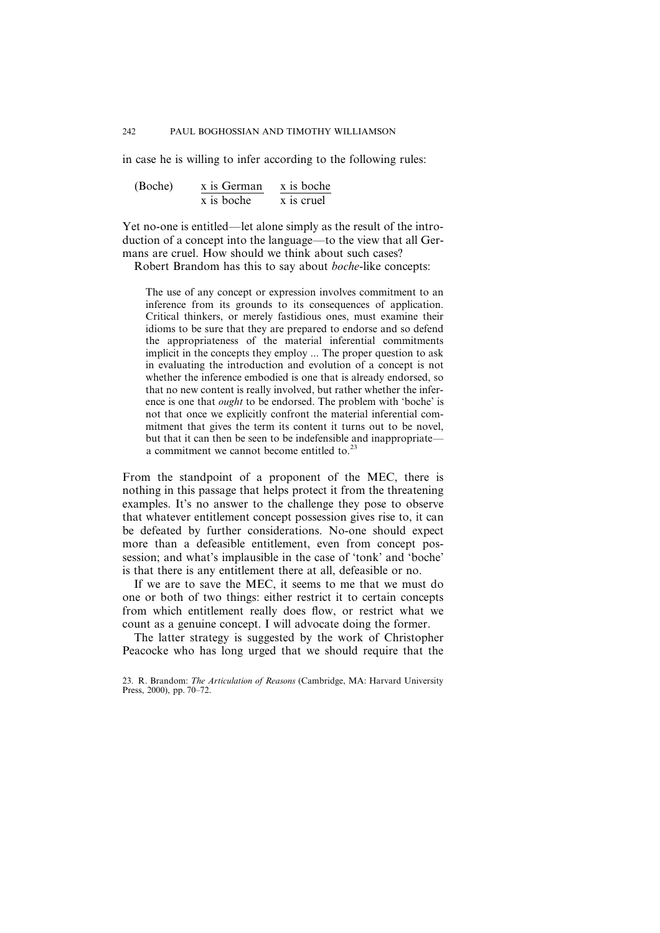in case he is willing to infer according to the following rules:

| (Boche) | x is German | x is boche |
|---------|-------------|------------|
|         | x is boche  | x is cruel |

Yet no-one is entitled—let alone simply as the result of the introduction of a concept into the language—to the view that all Germans are cruel. How should we think about such cases?

Robert Brandom has this to say about *boche*-like concepts:

The use of any concept or expression involves commitment to an inference from its grounds to its consequences of application. Critical thinkers, or merely fastidious ones, must examine their idioms to be sure that they are prepared to endorse and so defend the appropriateness of the material inferential commitments implicit in the concepts they employ ... The proper question to ask in evaluating the introduction and evolution of a concept is not whether the inference embodied is one that is already endorsed, so that no new content is really involved, but rather whether the inference is one that *ought* to be endorsed. The problem with 'boche' is not that once we explicitly confront the material inferential commitment that gives the term its content it turns out to be novel, but that it can then be seen to be indefensible and inappropriate a commitment we cannot become entitled to. $23$ 

From the standpoint of a proponent of the MEC, there is nothing in this passage that helps protect it from the threatening examples. It's no answer to the challenge they pose to observe that whatever entitlement concept possession gives rise to, it can be defeated by further considerations. No-one should expect more than a defeasible entitlement, even from concept possession; and what's implausible in the case of 'tonk' and 'boche' is that there is any entitlement there at all, defeasible or no.

If we are to save the MEC, it seems to me that we must do one or both of two things: either restrict it to certain concepts from which entitlement really does flow, or restrict what we count as a genuine concept. I will advocate doing the former.

The latter strategy is suggested by the work of Christopher Peacocke who has long urged that we should require that the

<sup>23.</sup> R. Brandom: *The Articulation of Reasons* (Cambridge, MA: Harvard University Press, 2000), pp. 70–72.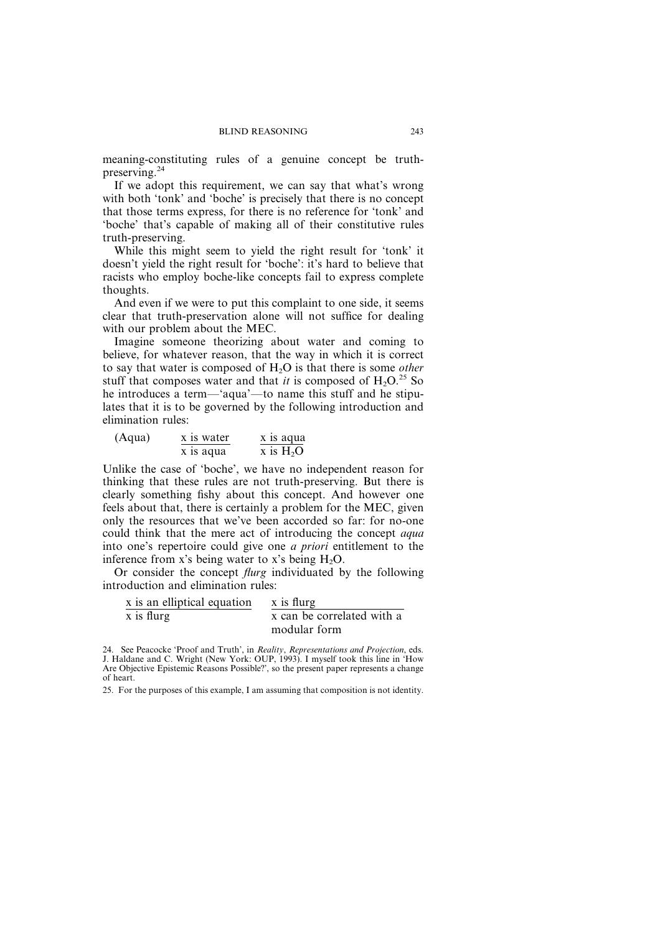meaning-constituting rules of a genuine concept be truthpreserving.<sup>24</sup>

If we adopt this requirement, we can say that what's wrong with both 'tonk' and 'boche' is precisely that there is no concept that those terms express, for there is no reference for 'tonk' and 'boche' that's capable of making all of their constitutive rules truth-preserving.

While this might seem to yield the right result for 'tonk' it doesn't yield the right result for 'boche': it's hard to believe that racists who employ boche-like concepts fail to express complete thoughts.

And even if we were to put this complaint to one side, it seems clear that truth-preservation alone will not suffice for dealing with our problem about the MEC.

Imagine someone theorizing about water and coming to believe, for whatever reason, that the way in which it is correct to say that water is composed of H2O is that there is some *other* stuff that composes water and that *it* is composed of  $H_2O^{25}$  So he introduces a term—'aqua'—to name this stuff and he stipulates that it is to be governed by the following introduction and elimination rules:

(Aqua) 
$$
\frac{x \text{ is water}}{x \text{ is aqua}}
$$
  $\frac{x \text{ is aqua}}{x \text{ is H}_2O}$ 

Unlike the case of 'boche', we have no independent reason for thinking that these rules are not truth-preserving. But there is clearly something fishy about this concept. And however one feels about that, there is certainly a problem for the MEC, given only the resources that we've been accorded so far: for no-one could think that the mere act of introducing the concept *aqua* into one's repertoire could give one *a priori* entitlement to the inference from x's being water to x's being  $H<sub>2</sub>O$ .

Or consider the concept *flurg* individuated by the following introduction and elimination rules:

| x is an elliptical equation | x is flurg                 |
|-----------------------------|----------------------------|
| x is flurg                  | x can be correlated with a |
|                             | modular form               |

<sup>24.</sup> See Peacocke 'Proof and Truth', in *Reality*, *Representations and Projection*, eds. J. Haldane and C. Wright (New York: OUP, 1993). I myself took this line in 'How Are Objective Epistemic Reasons Possible?', so the present paper represents a change of heart.

25. For the purposes of this example, I am assuming that composition is not identity.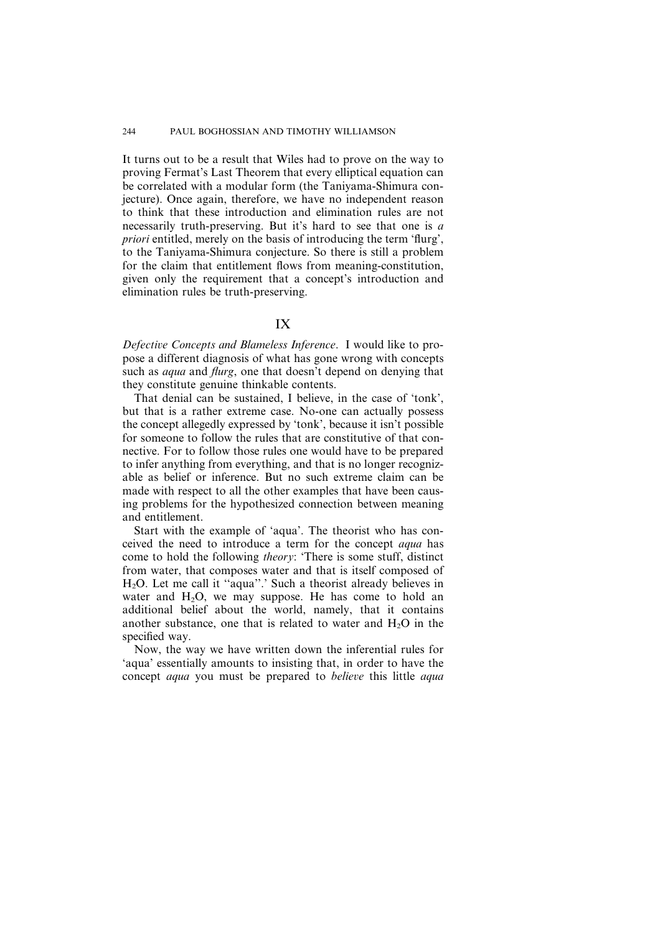It turns out to be a result that Wiles had to prove on the way to proving Fermat's Last Theorem that every elliptical equation can be correlated with a modular form (the Taniyama-Shimura conjecture). Once again, therefore, we have no independent reason to think that these introduction and elimination rules are not necessarily truth-preserving. But it's hard to see that one is *a priori* entitled, merely on the basis of introducing the term 'flurg', to the Taniyama-Shimura conjecture. So there is still a problem for the claim that entitlement flows from meaning-constitution, given only the requirement that a concept's introduction and elimination rules be truth-preserving.

### IX

*Defecti*û*e Concepts and Blameless Inference*. I would like to propose a different diagnosis of what has gone wrong with concepts such as *aqua* and *flurg*, one that doesn't depend on denying that they constitute genuine thinkable contents.

That denial can be sustained, I believe, in the case of 'tonk', but that is a rather extreme case. No-one can actually possess the concept allegedly expressed by 'tonk', because it isn't possible for someone to follow the rules that are constitutive of that connective. For to follow those rules one would have to be prepared to infer anything from everything, and that is no longer recognizable as belief or inference. But no such extreme claim can be made with respect to all the other examples that have been causing problems for the hypothesized connection between meaning and entitlement.

Start with the example of 'aqua'. The theorist who has conceived the need to introduce a term for the concept *aqua* has come to hold the following *theory*: 'There is some stuff, distinct from water, that composes water and that is itself composed of H2O. Let me call it ''aqua''.' Such a theorist already believes in water and  $H_2O$ , we may suppose. He has come to hold an additional belief about the world, namely, that it contains another substance, one that is related to water and  $H_2O$  in the specified way.

Now, the way we have written down the inferential rules for 'aqua' essentially amounts to insisting that, in order to have the concept *aqua* you must be prepared to *belie*û*e* this little *aqua*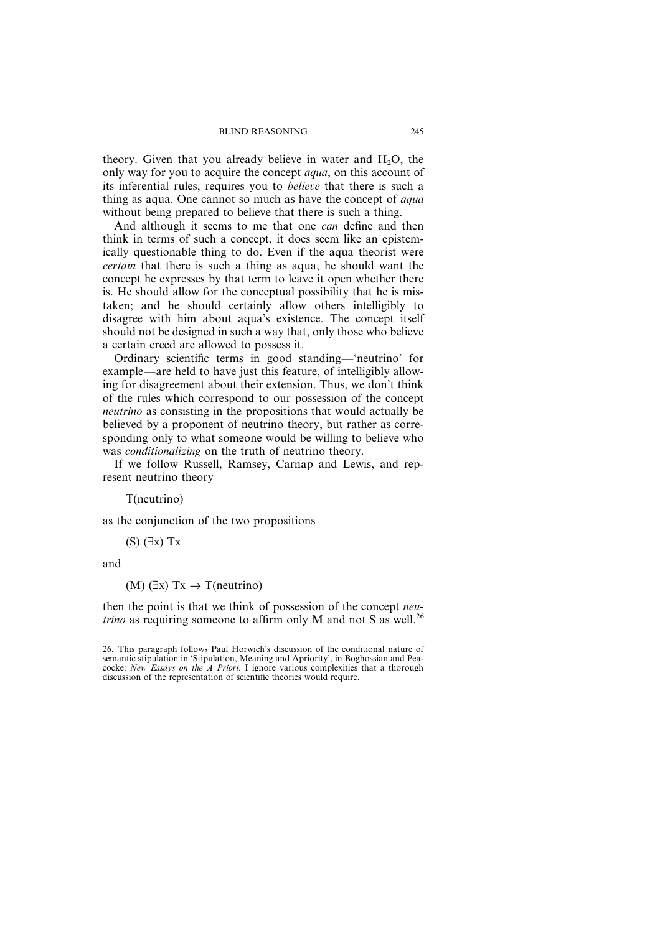theory. Given that you already believe in water and  $H_2O$ , the only way for you to acquire the concept *aqua*, on this account of its inferential rules, requires you to *believe* that there is such a thing as aqua. One cannot so much as have the concept of *aqua* without being prepared to believe that there is such a thing.

And although it seems to me that one *can* define and then think in terms of such a concept, it does seem like an epistemically questionable thing to do. Even if the aqua theorist were *certain* that there is such a thing as aqua, he should want the concept he expresses by that term to leave it open whether there is. He should allow for the conceptual possibility that he is mistaken; and he should certainly allow others intelligibly to disagree with him about aqua's existence. The concept itself should not be designed in such a way that, only those who believe a certain creed are allowed to possess it.

Ordinary scientific terms in good standing—'neutrino' for example—are held to have just this feature, of intelligibly allowing for disagreement about their extension. Thus, we don't think of the rules which correspond to our possession of the concept *neutrino* as consisting in the propositions that would actually be believed by a proponent of neutrino theory, but rather as corresponding only to what someone would be willing to believe who was *conditionalizing* on the truth of neutrino theory.

If we follow Russell, Ramsey, Carnap and Lewis, and represent neutrino theory

T(neutrino)

as the conjunction of the two propositions

 $(S)$   $(\exists x)$  Tx

and

(M)  $(\exists x)$  Tx → T(neutrino)

then the point is that we think of possession of the concept *neutrino* as requiring someone to affirm only M and not S as well.<sup>26</sup>

<sup>26.</sup> This paragraph follows Paul Horwich's discussion of the conditional nature of semantic stipulation in 'Stipulation, Meaning and Apriority', in Boghossian and Peacocke: *New Essays on the A Priori*. I ignore various complexities that a thorough discussion of the representation of scientific theories would require.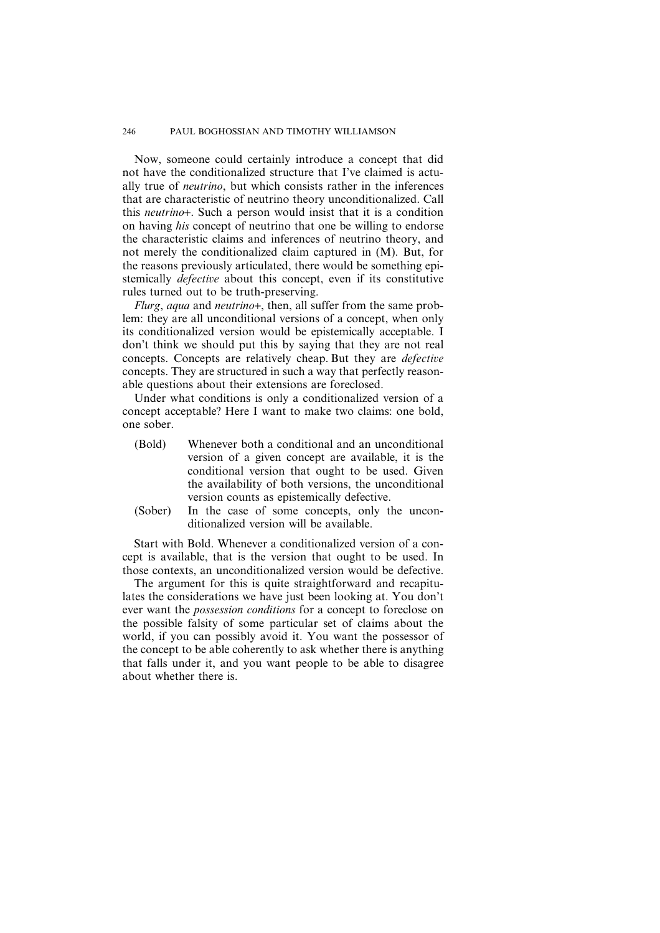Now, someone could certainly introduce a concept that did not have the conditionalized structure that I've claimed is actually true of *neutrino*, but which consists rather in the inferences that are characteristic of neutrino theory unconditionalized. Call this *neutrino*+. Such a person would insist that it is a condition on having *his* concept of neutrino that one be willing to endorse the characteristic claims and inferences of neutrino theory, and not merely the conditionalized claim captured in (M). But, for the reasons previously articulated, there would be something epistemically *defecti*û*e* about this concept, even if its constitutive rules turned out to be truth-preserving.

*Flurg*, *aqua* and *neutrino*+, then, all suffer from the same problem: they are all unconditional versions of a concept, when only its conditionalized version would be epistemically acceptable. I don't think we should put this by saying that they are not real concepts. Concepts are relatively cheap. But they are *defective* concepts. They are structured in such a way that perfectly reasonable questions about their extensions are foreclosed.

Under what conditions is only a conditionalized version of a concept acceptable? Here I want to make two claims: one bold, one sober.

- (Bold) Whenever both a conditional and an unconditional version of a given concept are available, it is the conditional version that ought to be used. Given the availability of both versions, the unconditional version counts as epistemically defective.
- (Sober) In the case of some concepts, only the unconditionalized version will be available.

Start with Bold. Whenever a conditionalized version of a concept is available, that is the version that ought to be used. In those contexts, an unconditionalized version would be defective.

The argument for this is quite straightforward and recapitulates the considerations we have just been looking at. You don't ever want the *possession conditions* for a concept to foreclose on the possible falsity of some particular set of claims about the world, if you can possibly avoid it. You want the possessor of the concept to be able coherently to ask whether there is anything that falls under it, and you want people to be able to disagree about whether there is.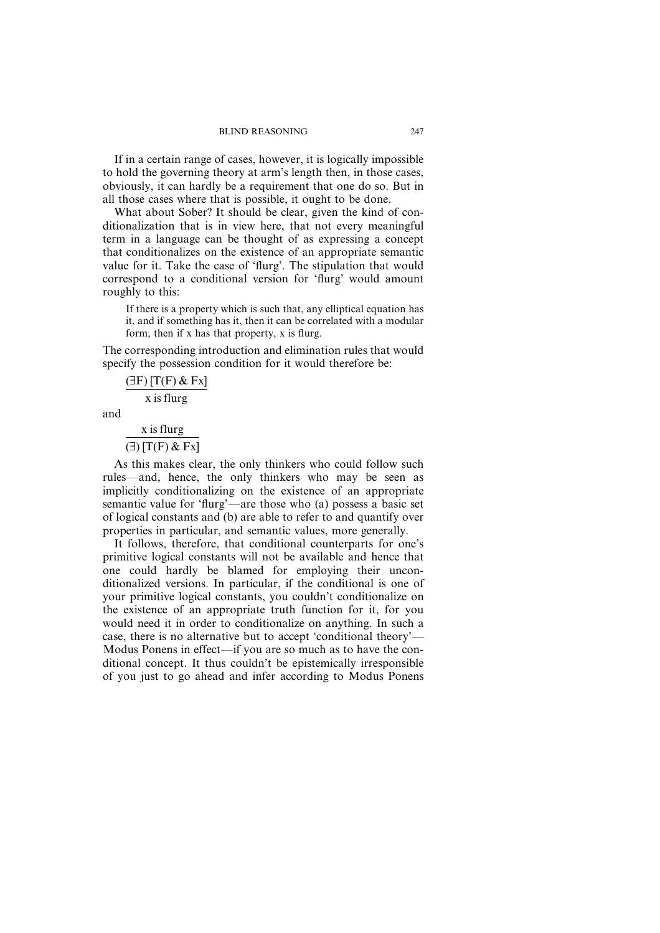If in a certain range of cases, however, it is logically impossible to hold the governing theory at arm's length then, in those cases, obviously, it can hardly be a requirement that one do so. But in all those cases where that is possible, it ought to be done.

What about Sober? It should be clear, given the kind of conditionalization that is in view here, that not every meaningful term in a language can be thought of as expressing a concept that conditionalizes on the existence of an appropriate semantic value for it. Take the case of 'flurg'. The stipulation that would correspond to a conditional version for 'flurg' would amount roughly to this:

If there is a property which is such that, any elliptical equation has it, and if something has it, then it can be correlated with a modular form, then if x has that property, x is flurg.

The corresponding introduction and elimination rules that would specify the possession condition for it would therefore be:

 $(\exists F)$   $[T(F) & Fx]$ x is flurg

and

x is flurg (∃) [T(F) & Fx]

As this makes clear, the only thinkers who could follow such rules—and, hence, the only thinkers who may be seen as implicitly conditionalizing on the existence of an appropriate semantic value for 'flurg'—are those who (a) possess a basic set of logical constants and (b) are able to refer to and quantify over properties in particular, and semantic values, more generally.

It follows, therefore, that conditional counterparts for one's primitive logical constants will not be available and hence that one could hardly be blamed for employing their unconditionalized versions. In particular, if the conditional is one of your primitive logical constants, you couldn't conditionalize on the existence of an appropriate truth function for it, for you would need it in order to conditionalize on anything. In such a case, there is no alternative but to accept 'conditional theory'— Modus Ponens in effect—if you are so much as to have the conditional concept. It thus couldn't be epistemically irresponsible of you just to go ahead and infer according to Modus Ponens